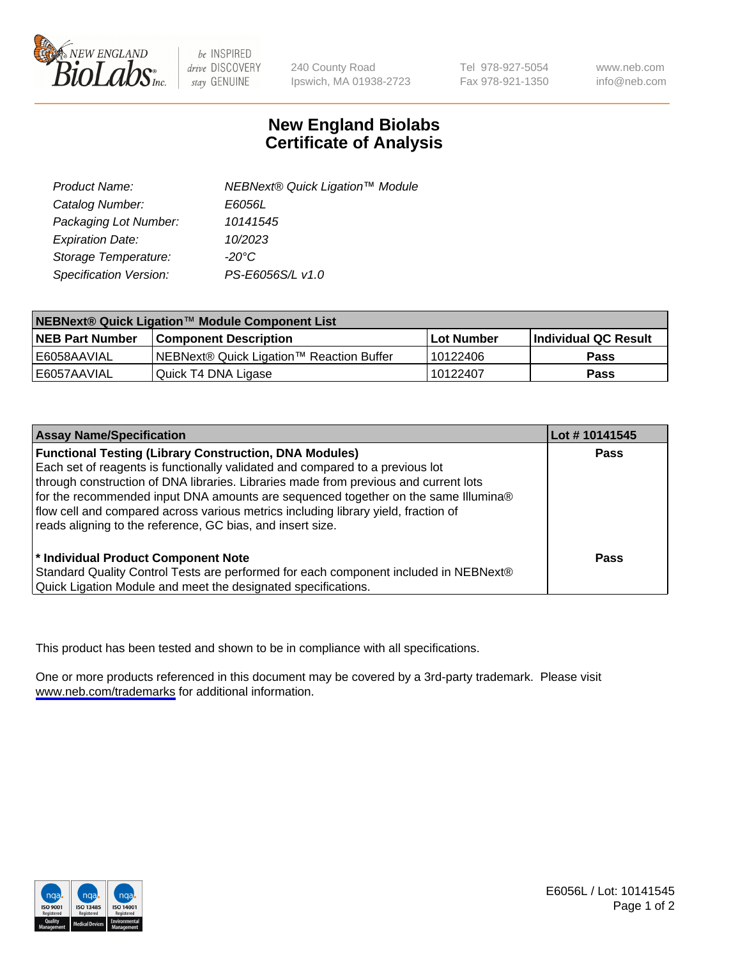

be INSPIRED drive DISCOVERY stay GENUINE

240 County Road Ipswich, MA 01938-2723 Tel 978-927-5054 Fax 978-921-1350

www.neb.com info@neb.com

## **New England Biolabs Certificate of Analysis**

| Product Name:           | NEBNext® Quick Ligation™ Module |
|-------------------------|---------------------------------|
| Catalog Number:         | E6056L                          |
| Packaging Lot Number:   | 10141545                        |
| <b>Expiration Date:</b> | 10/2023                         |
| Storage Temperature:    | $-20^{\circ}$ C                 |
| Specification Version:  | PS-E6056S/L v1.0                |

| NEBNext® Quick Ligation™ Module Component List |                                          |             |                             |  |
|------------------------------------------------|------------------------------------------|-------------|-----------------------------|--|
| <b>INEB Part Number</b>                        | l Component Description                  | ⊺Lot Number | <b>Individual QC Result</b> |  |
| I E6058AAVIAL                                  | NEBNext® Quick Ligation™ Reaction Buffer | l 10122406  | <b>Pass</b>                 |  |
| I E6057AAVIAL                                  | Quick T4 DNA Ligase                      | 10122407    | <b>Pass</b>                 |  |

| <b>Assay Name/Specification</b>                                                                                                                                                                                                                                                                                                                                                                                                                                                  | Lot #10141545 |
|----------------------------------------------------------------------------------------------------------------------------------------------------------------------------------------------------------------------------------------------------------------------------------------------------------------------------------------------------------------------------------------------------------------------------------------------------------------------------------|---------------|
| <b>Functional Testing (Library Construction, DNA Modules)</b><br>Each set of reagents is functionally validated and compared to a previous lot<br>through construction of DNA libraries. Libraries made from previous and current lots<br>for the recommended input DNA amounts are sequenced together on the same Illumina®<br>flow cell and compared across various metrics including library yield, fraction of<br>reads aligning to the reference, GC bias, and insert size. | <b>Pass</b>   |
| * Individual Product Component Note<br>Standard Quality Control Tests are performed for each component included in NEBNext®<br>Quick Ligation Module and meet the designated specifications.                                                                                                                                                                                                                                                                                     | Pass          |

This product has been tested and shown to be in compliance with all specifications.

One or more products referenced in this document may be covered by a 3rd-party trademark. Please visit <www.neb.com/trademarks>for additional information.